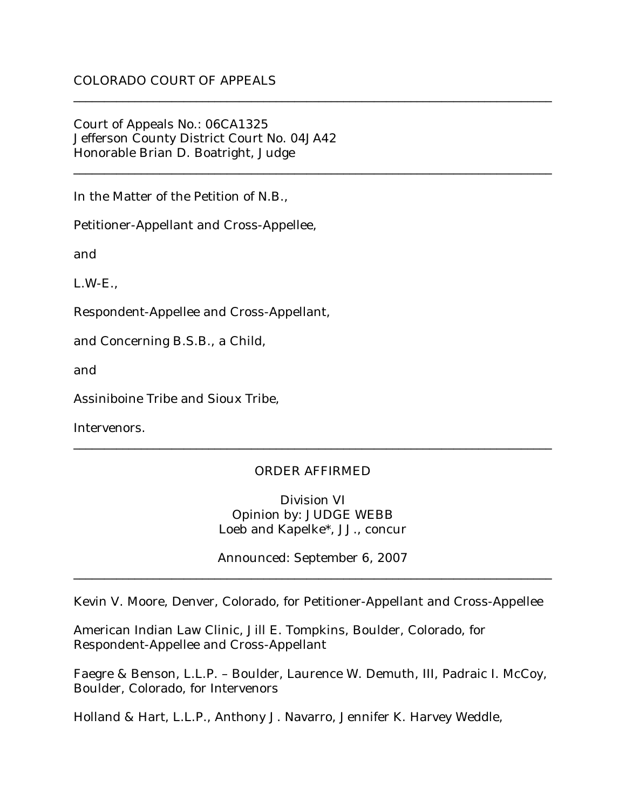Court of Appeals No.: 06CA1325 Jefferson County District Court No. 04JA42 Honorable Brian D. Boatright, Judge

In the Matter of the Petition of N.B.,

Petitioner-Appellant and Cross-Appellee,

and

L.W-E.,

Respondent-Appellee and Cross-Appellant,

and Concerning B.S.B., a Child,

and

Assiniboine Tribe and Sioux Tribe,

Intervenors.

## ORDER AFFIRMED

\_\_\_\_\_\_\_\_\_\_\_\_\_\_\_\_\_\_\_\_\_\_\_\_\_\_\_\_\_\_\_\_\_\_\_\_\_\_\_\_\_\_\_\_\_\_\_\_\_\_\_\_\_\_\_\_\_\_\_\_\_\_\_\_\_\_\_\_\_\_\_\_\_\_\_\_\_\_

\_\_\_\_\_\_\_\_\_\_\_\_\_\_\_\_\_\_\_\_\_\_\_\_\_\_\_\_\_\_\_\_\_\_\_\_\_\_\_\_\_\_\_\_\_\_\_\_\_\_\_\_\_\_\_\_\_\_\_\_\_\_\_\_\_\_\_\_\_\_\_\_\_\_\_\_\_\_

\_\_\_\_\_\_\_\_\_\_\_\_\_\_\_\_\_\_\_\_\_\_\_\_\_\_\_\_\_\_\_\_\_\_\_\_\_\_\_\_\_\_\_\_\_\_\_\_\_\_\_\_\_\_\_\_\_\_\_\_\_\_\_\_\_\_\_\_\_\_\_\_\_\_\_\_\_\_

Division VI Opinion by: JUDGE WEBB Loeb and Kapelke\*, JJ., concur

Announced: September 6, 2007 \_\_\_\_\_\_\_\_\_\_\_\_\_\_\_\_\_\_\_\_\_\_\_\_\_\_\_\_\_\_\_\_\_\_\_\_\_\_\_\_\_\_\_\_\_\_\_\_\_\_\_\_\_\_\_\_\_\_\_\_\_\_\_\_\_\_\_\_\_\_\_\_\_\_\_\_\_\_

Kevin V. Moore, Denver, Colorado, for Petitioner-Appellant and Cross-Appellee

American Indian Law Clinic, Jill E. Tompkins, Boulder, Colorado, for Respondent-Appellee and Cross-Appellant

Faegre & Benson, L.L.P. – Boulder, Laurence W. Demuth, III, Padraic I. McCoy, Boulder, Colorado, for Intervenors

Holland & Hart, L.L.P., Anthony J. Navarro, Jennifer K. Harvey Weddle,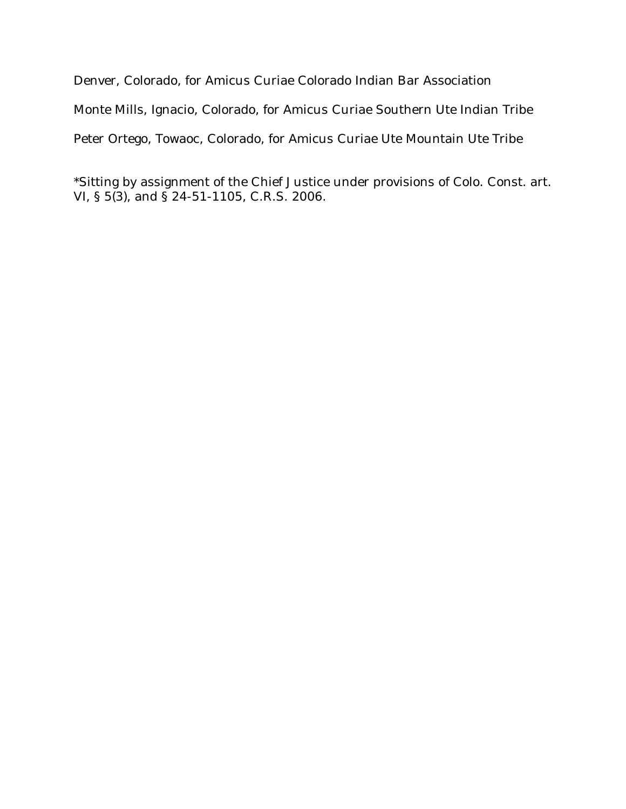Denver, Colorado, for Amicus Curiae Colorado Indian Bar Association Monte Mills, Ignacio, Colorado, for Amicus Curiae Southern Ute Indian Tribe Peter Ortego, Towaoc, Colorado, for Amicus Curiae Ute Mountain Ute Tribe

\*Sitting by assignment of the Chief Justice under provisions of Colo. Const. art. VI, § 5(3), and § 24-51-1105, C.R.S. 2006.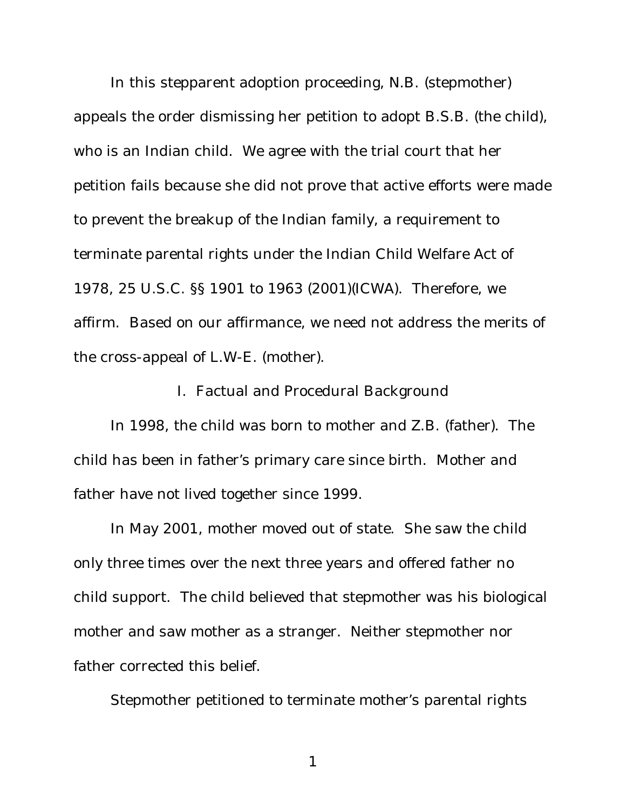In this stepparent adoption proceeding, N.B. (stepmother) appeals the order dismissing her petition to adopt B.S.B. (the child), who is an Indian child. We agree with the trial court that her petition fails because she did not prove that active efforts were made to prevent the breakup of the Indian family, a requirement to terminate parental rights under the Indian Child Welfare Act of 1978, 25 U.S.C. §§ 1901 to 1963 (2001)(ICWA). Therefore, we affirm. Based on our affirmance, we need not address the merits of the cross-appeal of L.W-E. (mother).

I. Factual and Procedural Background

In 1998, the child was born to mother and Z.B. (father). The child has been in father's primary care since birth. Mother and father have not lived together since 1999.

In May 2001, mother moved out of state. She saw the child only three times over the next three years and offered father no child support. The child believed that stepmother was his biological mother and saw mother as a stranger. Neither stepmother nor father corrected this belief.

Stepmother petitioned to terminate mother's parental rights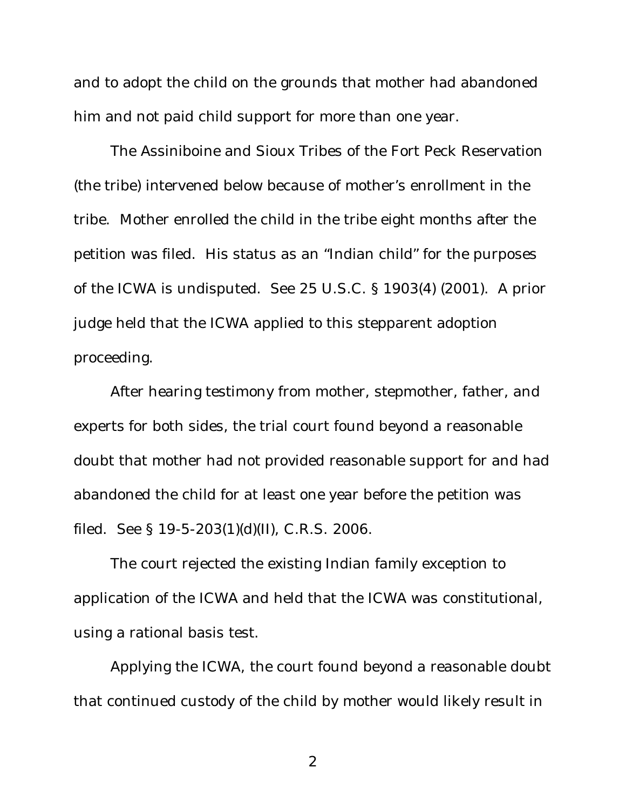and to adopt the child on the grounds that mother had abandoned him and not paid child support for more than one year.

The Assiniboine and Sioux Tribes of the Fort Peck Reservation (the tribe) intervened below because of mother's enrollment in the tribe. Mother enrolled the child in the tribe eight months after the petition was filed. His status as an "Indian child" for the purposes of the ICWA is undisputed. *See* 25 U.S.C. § 1903(4) (2001). A prior judge held that the ICWA applied to this stepparent adoption proceeding.

After hearing testimony from mother, stepmother, father, and experts for both sides, the trial court found beyond a reasonable doubt that mother had not provided reasonable support for and had abandoned the child for at least one year before the petition was filed. *See* § 19-5-203(1)(d)(II), C.R.S. 2006.

The court rejected the existing Indian family exception to application of the ICWA and held that the ICWA was constitutional, using a rational basis test.

Applying the ICWA, the court found beyond a reasonable doubt that continued custody of the child by mother would likely result in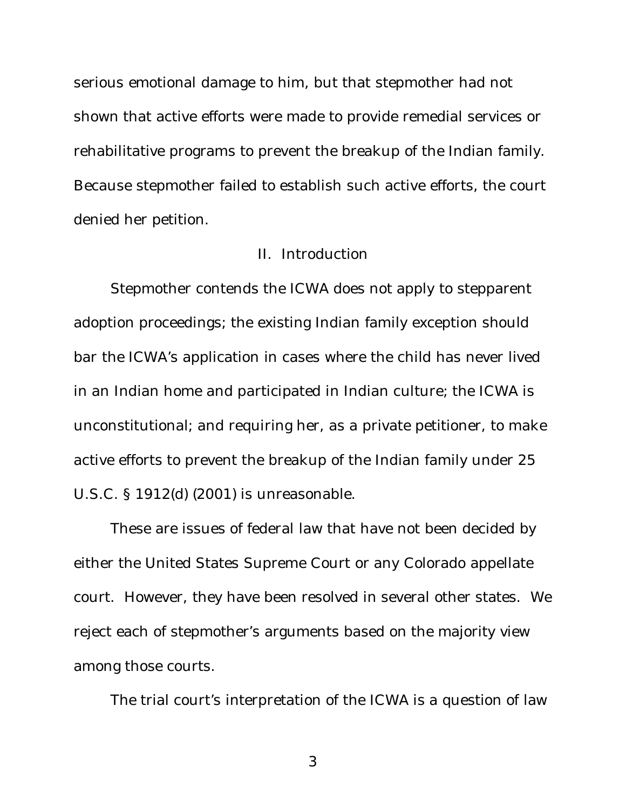serious emotional damage to him, but that stepmother had not shown that active efforts were made to provide remedial services or rehabilitative programs to prevent the breakup of the Indian family. Because stepmother failed to establish such active efforts, the court denied her petition.

### II. Introduction

Stepmother contends the ICWA does not apply to stepparent adoption proceedings; the existing Indian family exception should bar the ICWA's application in cases where the child has never lived in an Indian home and participated in Indian culture; the ICWA is unconstitutional; and requiring her, as a private petitioner, to make active efforts to prevent the breakup of the Indian family under 25 U.S.C. § 1912(d) (2001) is unreasonable.

These are issues of federal law that have not been decided by either the United States Supreme Court or any Colorado appellate court. However, they have been resolved in several other states. We reject each of stepmother's arguments based on the majority view among those courts.

The trial court's interpretation of the ICWA is a question of law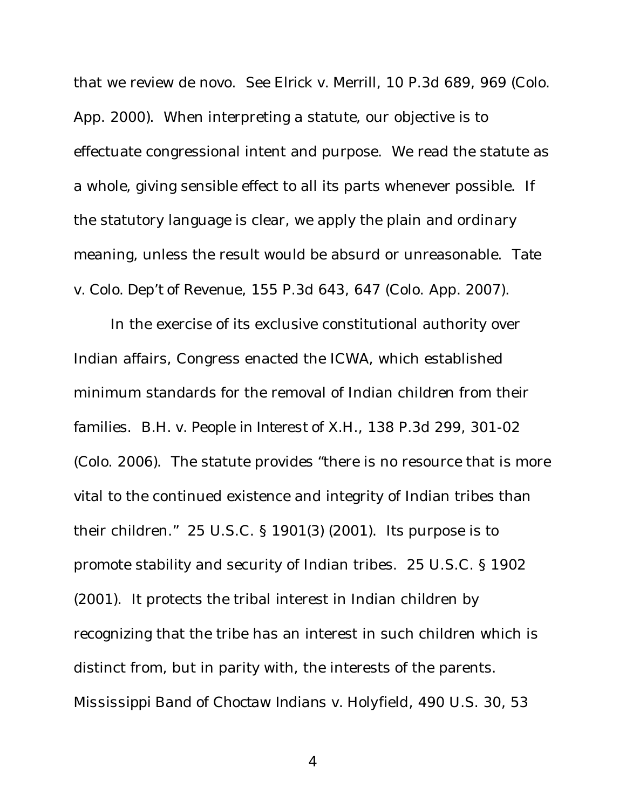that we review de novo. *See Elrick v. Merrill*, 10 P.3d 689, 969 (Colo. App. 2000). When interpreting a statute, our objective is to effectuate congressional intent and purpose. We read the statute as a whole, giving sensible effect to all its parts whenever possible. If the statutory language is clear, we apply the plain and ordinary meaning, unless the result would be absurd or unreasonable. *Tate v. Colo. Dep't of Revenue*, 155 P.3d 643, 647 (Colo. App. 2007).

In the exercise of its exclusive constitutional authority over Indian affairs, Congress enacted the ICWA, which established minimum standards for the removal of Indian children from their families. *B.H. v. People in Interest of X.H.*, 138 P.3d 299, 301-02 (Colo. 2006). The statute provides "there is no resource that is more vital to the continued existence and integrity of Indian tribes than their children." 25 U.S.C. § 1901(3) (2001). Its purpose is to promote stability and security of Indian tribes. 25 U.S.C. § 1902 (2001). It protects the tribal interest in Indian children by recognizing that the tribe has an interest in such children which is distinct from, but in parity with, the interests of the parents. *Mississippi Band of Choctaw Indians v. Holyfield*, 490 U.S. 30, 53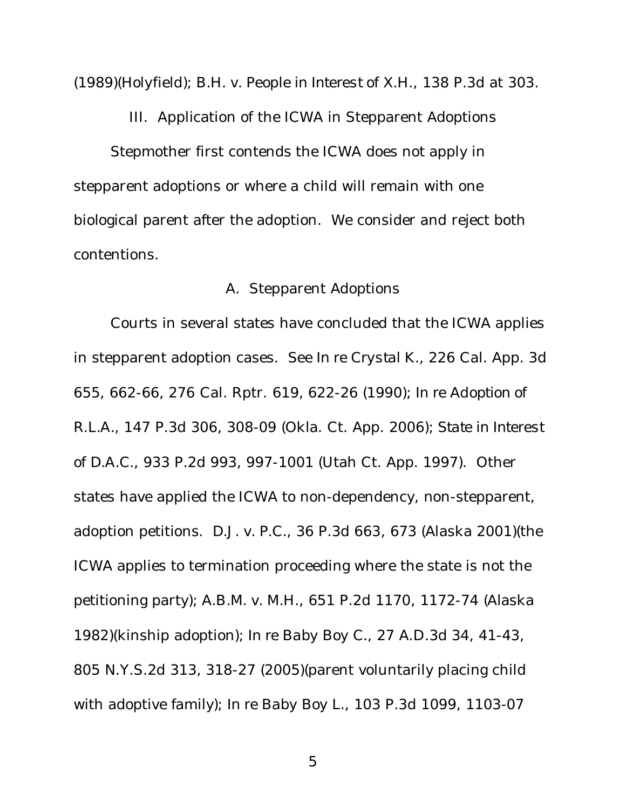(1989)(*Holyfield*); *B.H. v. People in Interest of X.H.*, 138 P.3d at 303.

III. Application of the ICWA in Stepparent Adoptions

Stepmother first contends the ICWA does not apply in stepparent adoptions or where a child will remain with one biological parent after the adoption. We consider and reject both contentions.

# A. Stepparent Adoptions

Courts in several states have concluded that the ICWA applies in stepparent adoption cases. *See In re Crystal K.*, 226 Cal. App. 3d 655, 662-66, 276 Cal. Rptr. 619, 622-26 (1990); *In re Adoption of R.L.A.*, 147 P.3d 306, 308-09 (Okla. Ct. App. 2006); *State in Interest of D.A.C.*, 933 P.2d 993, 997-1001 (Utah Ct. App. 1997). Other states have applied the ICWA to non-dependency, non-stepparent, adoption petitions. *D.J. v. P.C.*, 36 P.3d 663, 673 (Alaska 2001)(the ICWA applies to termination proceeding where the state is not the petitioning party); *A.B.M. v. M.H.*, 651 P.2d 1170, 1172-74 (Alaska 1982)(kinship adoption); *In re Baby Boy C.*, 27 A.D.3d 34, 41-43, 805 N.Y.S.2d 313, 318-27 (2005)(parent voluntarily placing child with adoptive family); *In re Baby Boy L.*, 103 P.3d 1099, 1103-07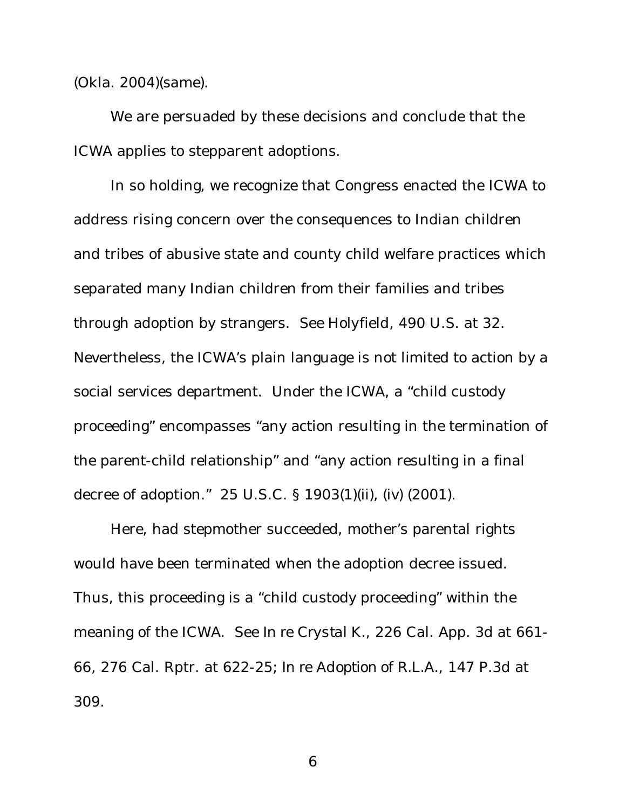(Okla. 2004)(same).

We are persuaded by these decisions and conclude that the ICWA applies to stepparent adoptions.

In so holding, we recognize that Congress enacted the ICWA to address rising concern over the consequences to Indian children and tribes of abusive state and county child welfare practices which separated many Indian children from their families and tribes through adoption by strangers. *See Holyfield*, 490 U.S. at 32. Nevertheless, the ICWA's plain language is not limited to action by a social services department. Under the ICWA, a "child custody proceeding" encompasses "any action resulting in the termination of the parent-child relationship" and "any action resulting in a final decree of adoption." 25 U.S.C. § 1903(1)(ii), (iv) (2001).

Here, had stepmother succeeded, mother's parental rights would have been terminated when the adoption decree issued. Thus, this proceeding is a "child custody proceeding" within the meaning of the ICWA. *See In re Crystal K.*, 226 Cal. App. 3d at 661- 66, 276 Cal. Rptr. at 622-25; *In re Adoption of R.L.A.*, 147 P.3d at 309.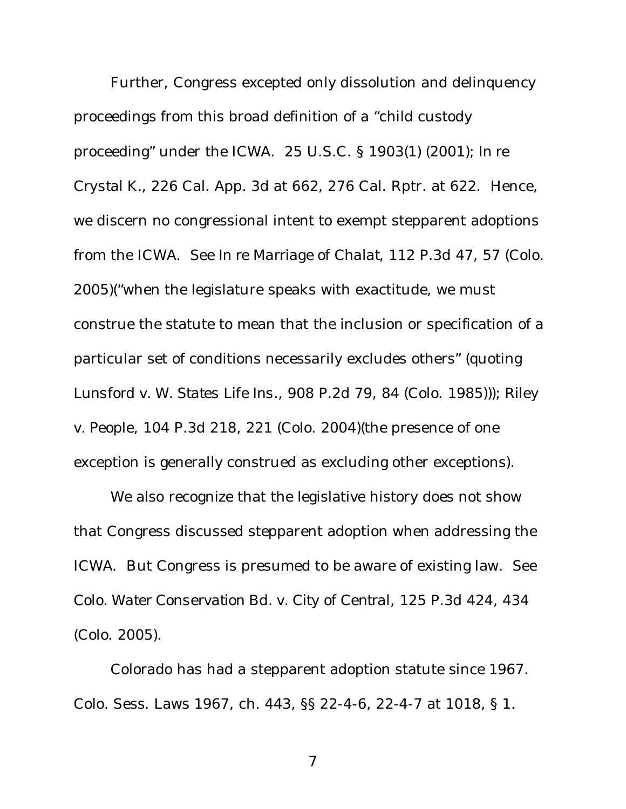Further, Congress excepted only dissolution and delinquency proceedings from this broad definition of a "child custody proceeding" under the ICWA. 25 U.S.C. § 1903(1) (2001); *In re Crystal K.*, 226 Cal. App. 3d at 662, 276 Cal. Rptr. at 622. Hence, we discern no congressional intent to exempt stepparent adoptions from the ICWA. *See In re Marriage of Chalat*, 112 P.3d 47, 57 (Colo. 2005)("when the legislature speaks with exactitude, we must construe the statute to mean that the inclusion or specification of a particular set of conditions necessarily excludes others" (quoting *Lunsford v. W. States Life Ins.*, 908 P.2d 79, 84 (Colo. 1985))); *Riley v. People*, 104 P.3d 218, 221 (Colo. 2004)(the presence of one exception is generally construed as excluding other exceptions).

We also recognize that the legislative history does not show that Congress discussed stepparent adoption when addressing the ICWA. But Congress is presumed to be aware of existing law. *See Colo. Water Conservation Bd. v. City of Central*, 125 P.3d 424, 434 (Colo. 2005).

Colorado has had a stepparent adoption statute since 1967. Colo. Sess. Laws 1967, ch. 443, §§ 22-4-6, 22-4-7 at 1018, § 1.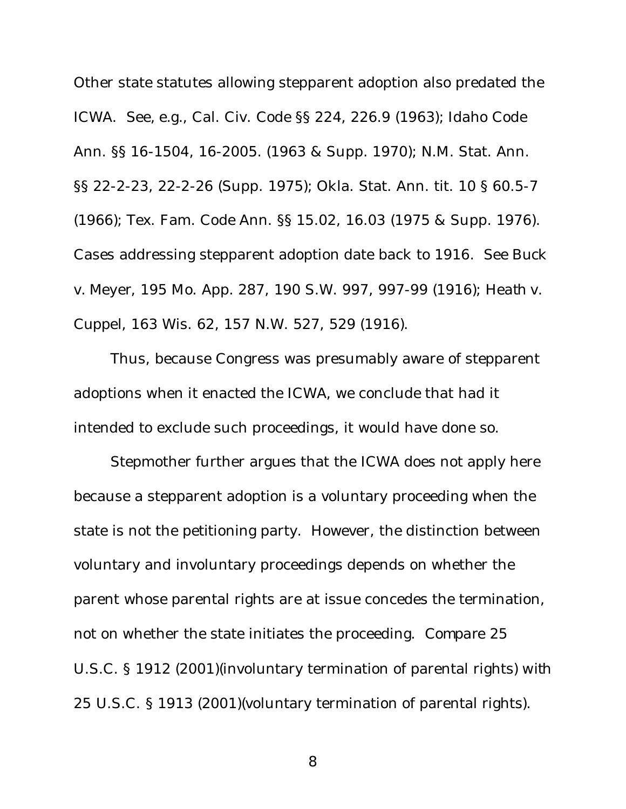Other state statutes allowing stepparent adoption also predated the ICWA. *See, e.g.*, Cal. Civ. Code §§ 224, 226.9 (1963); Idaho Code Ann. §§ 16-1504, 16-2005. (1963 & Supp. 1970); N.M. Stat. Ann. §§ 22-2-23, 22-2-26 (Supp. 1975); Okla. Stat. Ann. tit. 10 § 60.5-7 (1966); Tex. Fam. Code Ann. §§ 15.02, 16.03 (1975 & Supp. 1976). Cases addressing stepparent adoption date back to 1916. *See Buck v. Meyer*, 195 Mo. App. 287, 190 S.W. 997, 997-99 (1916); *Heath v. Cuppel*, 163 Wis. 62, 157 N.W. 527, 529 (1916).

Thus, because Congress was presumably aware of stepparent adoptions when it enacted the ICWA, we conclude that had it intended to exclude such proceedings, it would have done so.

Stepmother further argues that the ICWA does not apply here because a stepparent adoption is a voluntary proceeding when the state is not the petitioning party. However, the distinction between voluntary and involuntary proceedings depends on whether the parent whose parental rights are at issue concedes the termination, not on whether the state initiates the proceeding. *Compare* 25 U.S.C. § 1912 (2001)(involuntary termination of parental rights) *with* 25 U.S.C. § 1913 (2001)(voluntary termination of parental rights).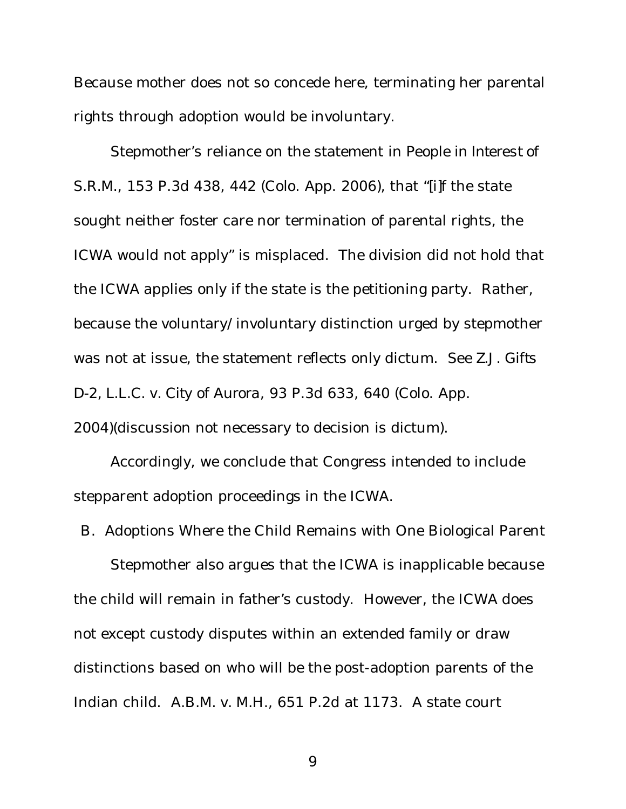Because mother does not so concede here, terminating her parental rights through adoption would be involuntary.

Stepmother's reliance on the statement in *People in Interest of S.R.M.*, 153 P.3d 438, 442 (Colo. App. 2006), that "[i]f the state sought neither foster care nor termination of parental rights, the ICWA would not apply" is misplaced. The division did not hold that the ICWA applies only if the state is the petitioning party. Rather, because the voluntary/involuntary distinction urged by stepmother was not at issue, the statement reflects only dictum. *See Z.J. Gifts D-2, L.L.C. v. City of Aurora*, 93 P.3d 633, 640 (Colo. App. 2004)(discussion not necessary to decision is dictum).

Accordingly, we conclude that Congress intended to include stepparent adoption proceedings in the ICWA.

B. Adoptions Where the Child Remains with One Biological Parent Stepmother also argues that the ICWA is inapplicable because the child will remain in father's custody. However, the ICWA does not except custody disputes within an extended family or draw distinctions based on who will be the post-adoption parents of the

Indian child. *A.B.M. v. M.H.*, 651 P.2d at 1173. A state court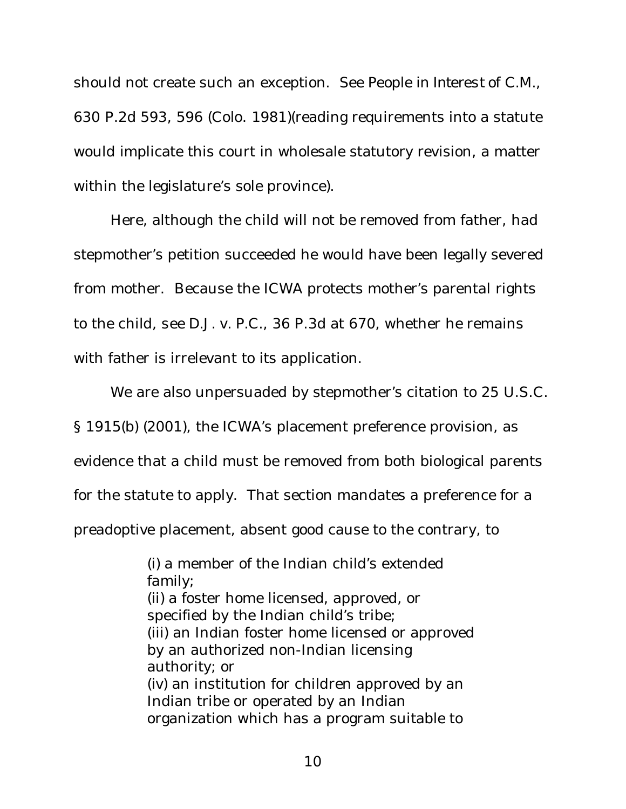should not create such an exception. *See People in Interest of C.M.*, 630 P.2d 593, 596 (Colo. 1981)(reading requirements into a statute would implicate this court in wholesale statutory revision, a matter within the legislature's sole province).

Here, although the child will not be removed from father, had stepmother's petition succeeded he would have been legally severed from mother. Because the ICWA protects mother's parental rights to the child, *see D.J. v. P.C.*, 36 P.3d at 670, whether he remains with father is irrelevant to its application.

We are also unpersuaded by stepmother's citation to 25 U.S.C.

§ 1915(b) (2001), the ICWA's placement preference provision, as

evidence that a child must be removed from both biological parents

for the statute to apply. That section mandates a preference for a

preadoptive placement, absent good cause to the contrary, to

(i) a member of the Indian child's extended family; (ii) a foster home licensed, approved, or specified by the Indian child's tribe; (iii) an Indian foster home licensed or approved by an authorized non-Indian licensing authority; or (iv) an institution for children approved by an Indian tribe or operated by an Indian organization which has a program suitable to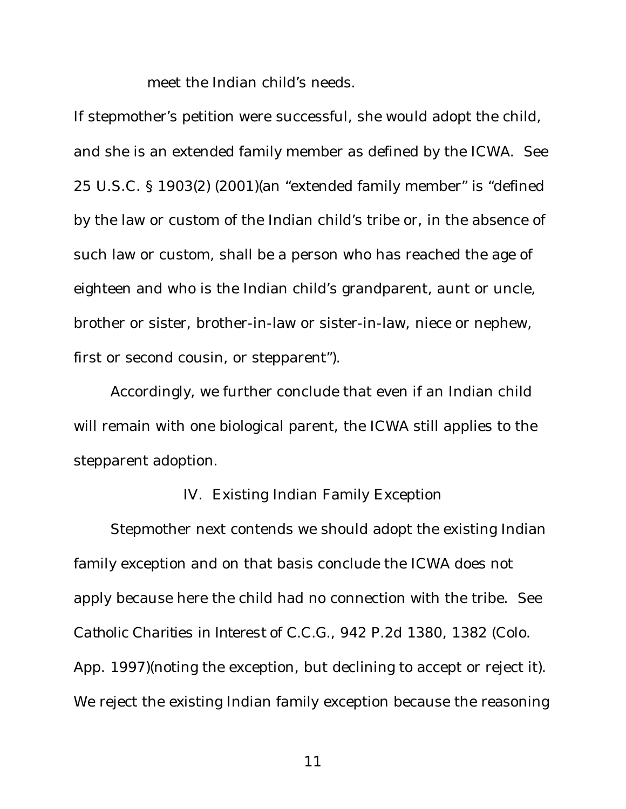meet the Indian child's needs.

If stepmother's petition were successful, she would adopt the child, and she is an extended family member as defined by the ICWA. *See* 25 U.S.C. § 1903(2) (2001)(an "extended family member" is "defined by the law or custom of the Indian child's tribe or, in the absence of such law or custom, shall be a person who has reached the age of eighteen and who is the Indian child's grandparent, aunt or uncle, brother or sister, brother-in-law or sister-in-law, niece or nephew, first or second cousin, or stepparent").

Accordingly, we further conclude that even if an Indian child will remain with one biological parent, the ICWA still applies to the stepparent adoption.

#### IV. Existing Indian Family Exception

Stepmother next contends we should adopt the existing Indian family exception and on that basis conclude the ICWA does not apply because here the child had no connection with the tribe. *See Catholic Charities in Interest of C.C.G.*, 942 P.2d 1380, 1382 (Colo. App. 1997)(noting the exception, but declining to accept or reject it). We reject the existing Indian family exception because the reasoning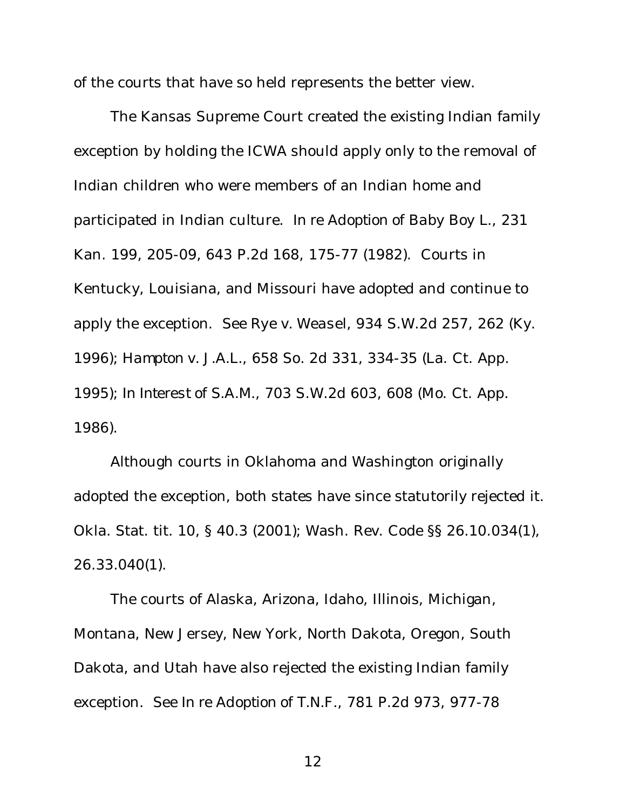of the courts that have so held represents the better view.

The Kansas Supreme Court created the existing Indian family exception by holding the ICWA should apply only to the removal of Indian children who were members of an Indian home and participated in Indian culture. *In re Adoption of Baby Boy L.*, 231 Kan. 199, 205-09, 643 P.2d 168, 175-77 (1982). Courts in Kentucky, Louisiana, and Missouri have adopted and continue to apply the exception. *See Rye v. Weasel*, 934 S.W.2d 257, 262 (Ky. 1996); *Hampton v. J.A.L.*, 658 So. 2d 331, 334-35 (La. Ct. App. 1995); *In Interest of S.A.M.*, 703 S.W.2d 603, 608 (Mo. Ct. App. 1986).

Although courts in Oklahoma and Washington originally adopted the exception, both states have since statutorily rejected it. Okla. Stat. tit. 10, § 40.3 (2001); Wash. Rev. Code §§ 26.10.034(1), 26.33.040(1).

The courts of Alaska, Arizona, Idaho, Illinois, Michigan, Montana, New Jersey, New York, North Dakota, Oregon, South Dakota, and Utah have also rejected the existing Indian family exception. *See In re Adoption of T.N.F.*, 781 P.2d 973, 977-78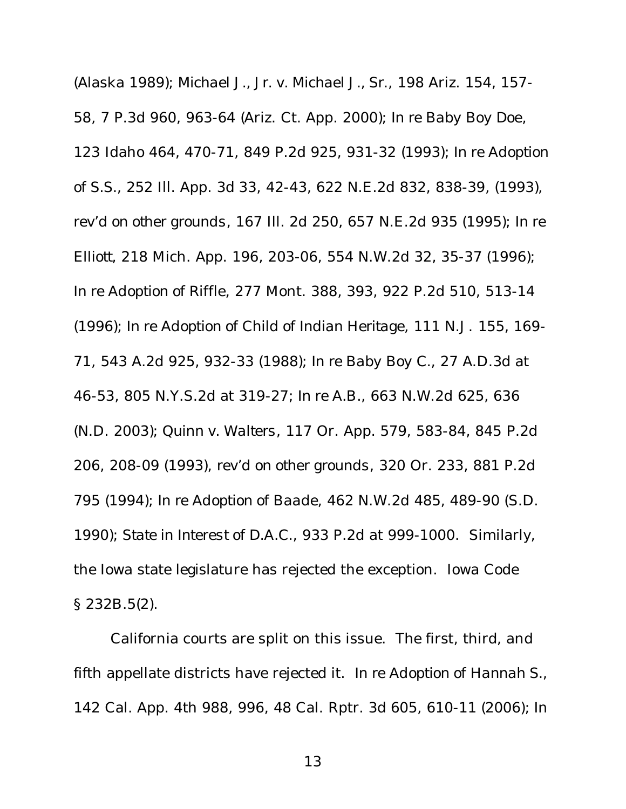(Alaska 1989); *Michael J., Jr. v. Michael J., Sr.*, 198 Ariz. 154, 157- 58, 7 P.3d 960, 963-64 (Ariz. Ct. App. 2000); *In re Baby Boy Doe*, 123 Idaho 464, 470-71, 849 P.2d 925, 931-32 (1993); *In re Adoption of S.S.*, 252 Ill. App. 3d 33, 42-43, 622 N.E.2d 832, 838-39, (1993), *rev'd on other grounds*, 167 Ill. 2d 250, 657 N.E.2d 935 (1995); *In re Elliott*, 218 Mich. App. 196, 203-06, 554 N.W.2d 32, 35-37 (1996); *In re Adoption of Riffle*, 277 Mont. 388, 393, 922 P.2d 510, 513-14 (1996); *In re Adoption of Child of Indian Heritage*, 111 N.J. 155, 169- 71, 543 A.2d 925, 932-33 (1988); *In re Baby Boy C.*, 27 A.D.3d at 46-53, 805 N.Y.S.2d at 319-27; *In re A.B.*, 663 N.W.2d 625, 636 (N.D. 2003); *Quinn v. Walters*, 117 Or. App. 579, 583-84, 845 P.2d 206, 208-09 (1993), *rev'd on other grounds*, 320 Or. 233, 881 P.2d 795 (1994); *In re Adoption of Baade*, 462 N.W.2d 485, 489-90 (S.D. 1990); *State in Interest of D.A.C.*, 933 P.2d at 999-1000. Similarly, the Iowa state legislature has rejected the exception. Iowa Code § 232B.5(2).

California courts are split on this issue. The first, third, and fifth appellate districts have rejected it. *In re Adoption of Hannah S.*, 142 Cal. App. 4th 988, 996, 48 Cal. Rptr. 3d 605, 610-11 (2006); *In*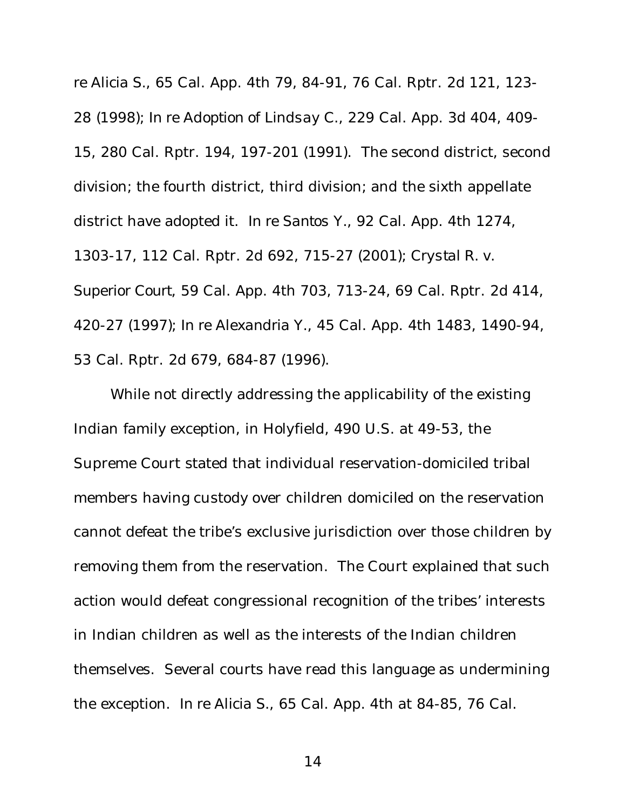*re Alicia S.*, 65 Cal. App. 4th 79, 84-91, 76 Cal. Rptr. 2d 121, 123- 28 (1998); *In re Adoption of Lindsay C.*, 229 Cal. App. 3d 404, 409- 15, 280 Cal. Rptr. 194, 197-201 (1991). The second district, second division; the fourth district, third division; and the sixth appellate district have adopted it. *In re Santos Y.*, 92 Cal. App. 4th 1274, 1303-17, 112 Cal. Rptr. 2d 692, 715-27 (2001); *Crystal R. v. Superior Court*, 59 Cal. App. 4th 703, 713-24, 69 Cal. Rptr. 2d 414, 420-27 (1997); *In re Alexandria Y.*, 45 Cal. App. 4th 1483, 1490-94, 53 Cal. Rptr. 2d 679, 684-87 (1996).

While not directly addressing the applicability of the existing Indian family exception, in *Holyfield*, 490 U.S. at 49-53, the Supreme Court stated that individual reservation-domiciled tribal members having custody over children domiciled on the reservation cannot defeat the tribe's exclusive jurisdiction over those children by removing them from the reservation. The Court explained that such action would defeat congressional recognition of the tribes' interests in Indian children as well as the interests of the Indian children themselves. Several courts have read this language as undermining the exception. *In re Alicia S.*, 65 Cal. App. 4th at 84-85, 76 Cal.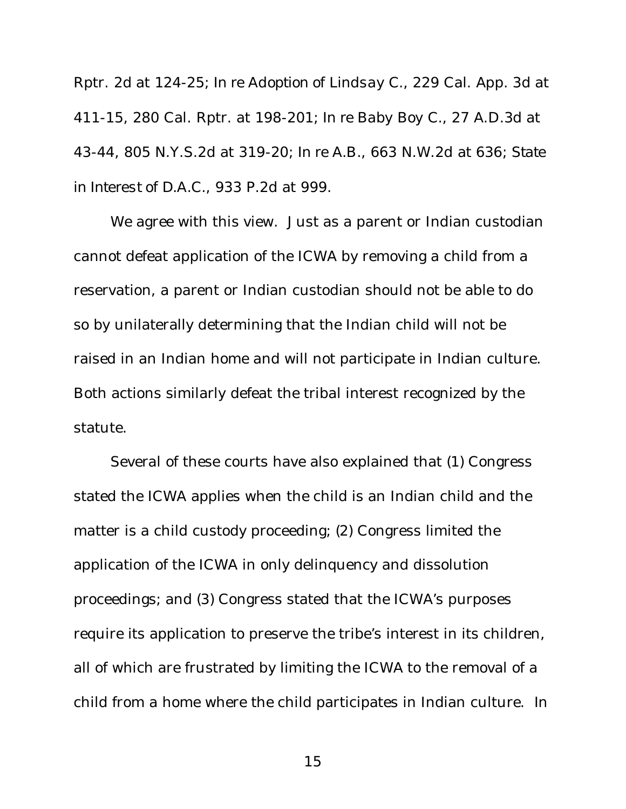Rptr. 2d at 124-25; *In re Adoption of Lindsay C.*, 229 Cal. App. 3d at 411-15, 280 Cal. Rptr. at 198-201; *In re Baby Boy C.*, 27 A.D.3d at 43-44, 805 N.Y.S.2d at 319-20; *In re A.B.*, 663 N.W.2d at 636; *State in Interest of D.A.C.*, 933 P.2d at 999.

We agree with this view. Just as a parent or Indian custodian cannot defeat application of the ICWA by removing a child from a reservation, a parent or Indian custodian should not be able to do so by unilaterally determining that the Indian child will not be raised in an Indian home and will not participate in Indian culture. Both actions similarly defeat the tribal interest recognized by the statute.

Several of these courts have also explained that (1) Congress stated the ICWA applies when the child is an Indian child and the matter is a child custody proceeding; (2) Congress limited the application of the ICWA in only delinquency and dissolution proceedings; and (3) Congress stated that the ICWA's purposes require its application to preserve the tribe's interest in its children, all of which are frustrated by limiting the ICWA to the removal of a child from a home where the child participates in Indian culture. *In*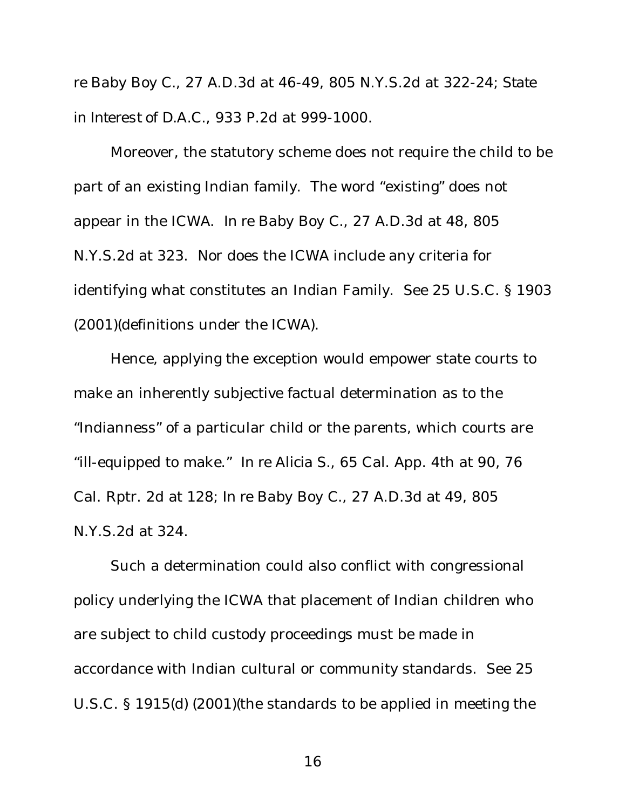*re Baby Boy C.*, 27 A.D.3d at 46-49, 805 N.Y.S.2d at 322-24; *State in Interest of D.A.C.*, 933 P.2d at 999-1000.

Moreover, the statutory scheme does not require the child to be part of an existing Indian family. The word "existing" does not appear in the ICWA. *In re Baby Boy C.*, 27 A.D.3d at 48, 805 N.Y.S.2d at 323. Nor does the ICWA include any criteria for identifying what constitutes an Indian Family. *See* 25 U.S.C. § 1903 (2001)(definitions under the ICWA).

Hence, applying the exception would empower state courts to make an inherently subjective factual determination as to the "Indianness" of a particular child or the parents, which courts are "ill-equipped to make." *In re Alicia S.*, 65 Cal. App. 4th at 90, 76 Cal. Rptr. 2d at 128; *In re Baby Boy C.*, 27 A.D.3d at 49, 805 N.Y.S.2d at 324.

Such a determination could also conflict with congressional policy underlying the ICWA that placement of Indian children who are subject to child custody proceedings must be made in accordance with Indian cultural or community standards. *See* 25 U.S.C. § 1915(d) (2001)(the standards to be applied in meeting the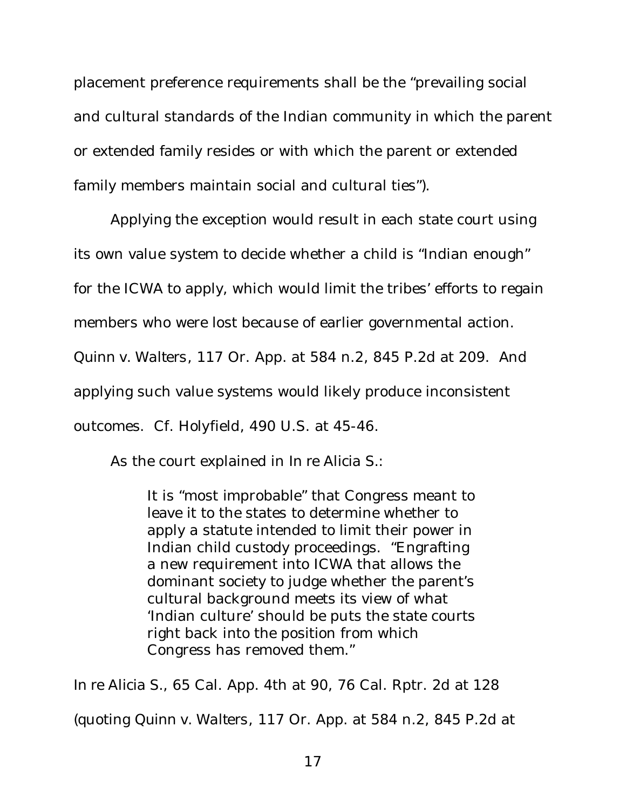placement preference requirements shall be the "prevailing social and cultural standards of the Indian community in which the parent or extended family resides or with which the parent or extended family members maintain social and cultural ties").

Applying the exception would result in each state court using its own value system to decide whether a child is "Indian enough" for the ICWA to apply, which would limit the tribes' efforts to regain members who were lost because of earlier governmental action. *Quinn v. Walters*, 117 Or. App. at 584 n.2, 845 P.2d at 209. And applying such value systems would likely produce inconsistent outcomes. *Cf*. *Holyfield*, 490 U.S. at 45-46.

As the court explained in *In re Alicia S.*:

It is "most improbable" that Congress meant to leave it to the states to determine whether to apply a statute intended to limit their power in Indian child custody proceedings. "Engrafting a new requirement into ICWA that allows the dominant society to judge whether the parent's cultural background meets its view of what 'Indian culture' should be puts the state courts right back into the position from which Congress has removed them."

*In re Alicia S.*, 65 Cal. App. 4th at 90, 76 Cal. Rptr. 2d at 128 (quoting *Quinn v. Walters*, 117 Or. App. at 584 n.2, 845 P.2d at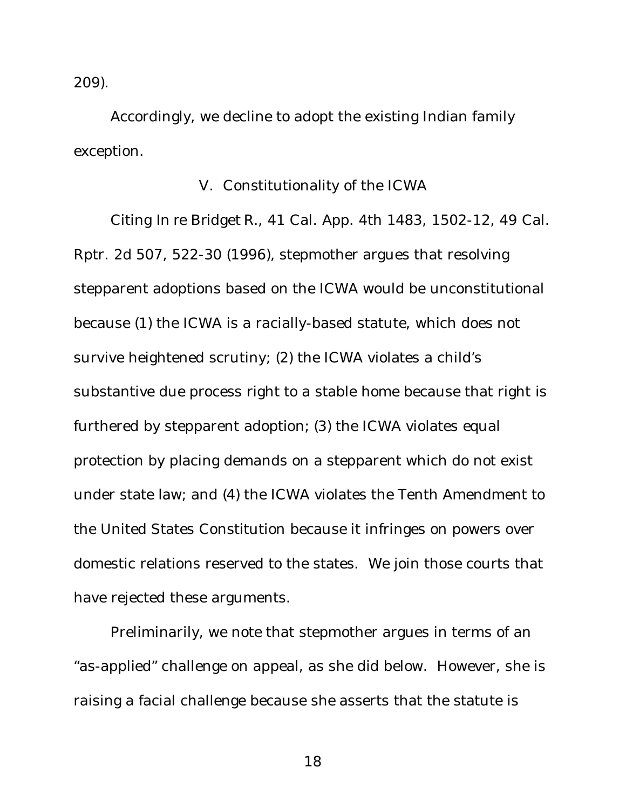209).

Accordingly, we decline to adopt the existing Indian family exception.

# V. Constitutionality of the ICWA

Citing *In re Bridget R.*, 41 Cal. App. 4th 1483, 1502-12, 49 Cal. Rptr. 2d 507, 522-30 (1996), stepmother argues that resolving stepparent adoptions based on the ICWA would be unconstitutional because (1) the ICWA is a racially-based statute, which does not survive heightened scrutiny; (2) the ICWA violates a child's substantive due process right to a stable home because that right is furthered by stepparent adoption; (3) the ICWA violates equal protection by placing demands on a stepparent which do not exist under state law; and (4) the ICWA violates the Tenth Amendment to the United States Constitution because it infringes on powers over domestic relations reserved to the states. We join those courts that have rejected these arguments.

Preliminarily, we note that stepmother argues in terms of an "as-applied" challenge on appeal, as she did below. However, she is raising a facial challenge because she asserts that the statute is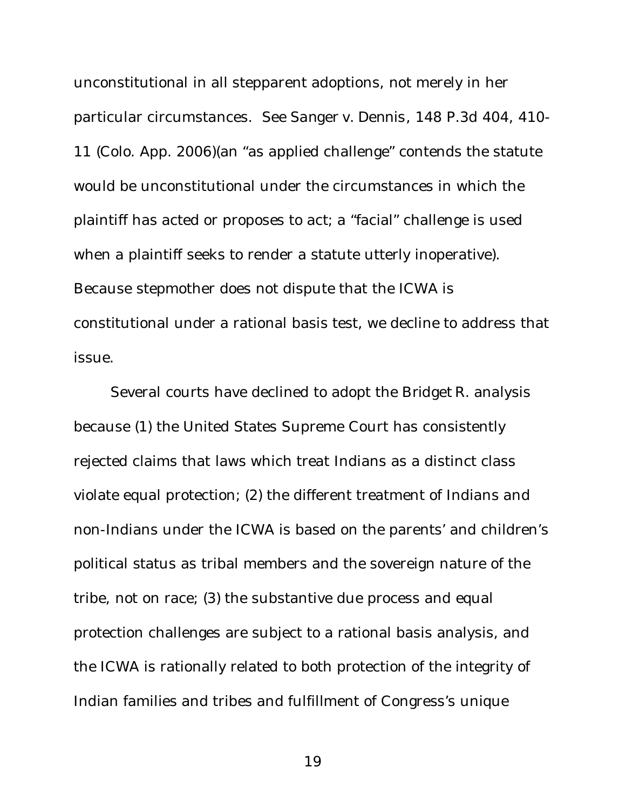unconstitutional in all stepparent adoptions, not merely in her particular circumstances. *See Sanger v. Dennis*, 148 P.3d 404, 410- 11 (Colo. App. 2006)(an "as applied challenge" contends the statute would be unconstitutional under the circumstances in which the plaintiff has acted or proposes to act; a "facial" challenge is used when a plaintiff seeks to render a statute utterly inoperative). Because stepmother does not dispute that the ICWA is constitutional under a rational basis test, we decline to address that issue.

Several courts have declined to adopt the *Bridget R.* analysis because (1) the United States Supreme Court has consistently rejected claims that laws which treat Indians as a distinct class violate equal protection; (2) the different treatment of Indians and non-Indians under the ICWA is based on the parents' and children's political status as tribal members and the sovereign nature of the tribe, not on race; (3) the substantive due process and equal protection challenges are subject to a rational basis analysis, and the ICWA is rationally related to both protection of the integrity of Indian families and tribes and fulfillment of Congress's unique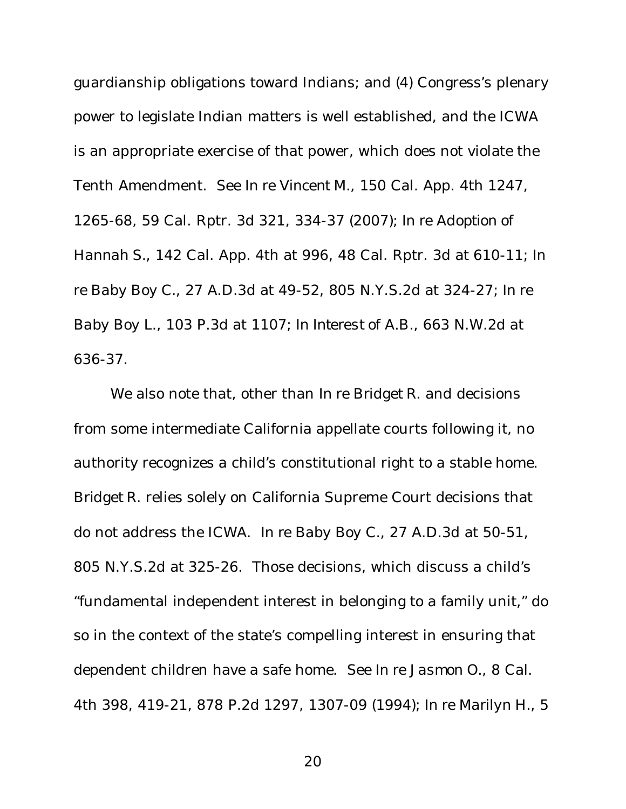guardianship obligations toward Indians; and (4) Congress's plenary power to legislate Indian matters is well established, and the ICWA is an appropriate exercise of that power, which does not violate the Tenth Amendment. *See In re Vincent M.*, 150 Cal. App. 4th 1247, 1265-68, 59 Cal. Rptr. 3d 321, 334-37 (2007); *In re Adoption of Hannah S.*, 142 Cal. App. 4th at 996, 48 Cal. Rptr. 3d at 610-11; *In re Baby Boy C.*, 27 A.D.3d at 49-52, 805 N.Y.S.2d at 324-27; *In re Baby Boy L.*, 103 P.3d at 1107; *In Interest of A.B.*, 663 N.W.2d at 636-37.

We also note that, other than *In re Bridget R.* and decisions from some intermediate California appellate courts following it, no authority recognizes a child's constitutional right to a stable home. *Bridget R.* relies solely on California Supreme Court decisions that do not address the ICWA. *In re Baby Boy C.*, 27 A.D.3d at 50-51, 805 N.Y.S.2d at 325-26. Those decisions, which discuss a child's "fundamental independent interest in belonging to a family unit," do so in the context of the state's compelling interest in ensuring that dependent children have a safe home. *See In re Jasmon O.*, 8 Cal. 4th 398, 419-21, 878 P.2d 1297, 1307-09 (1994); *In re Marilyn H.*, 5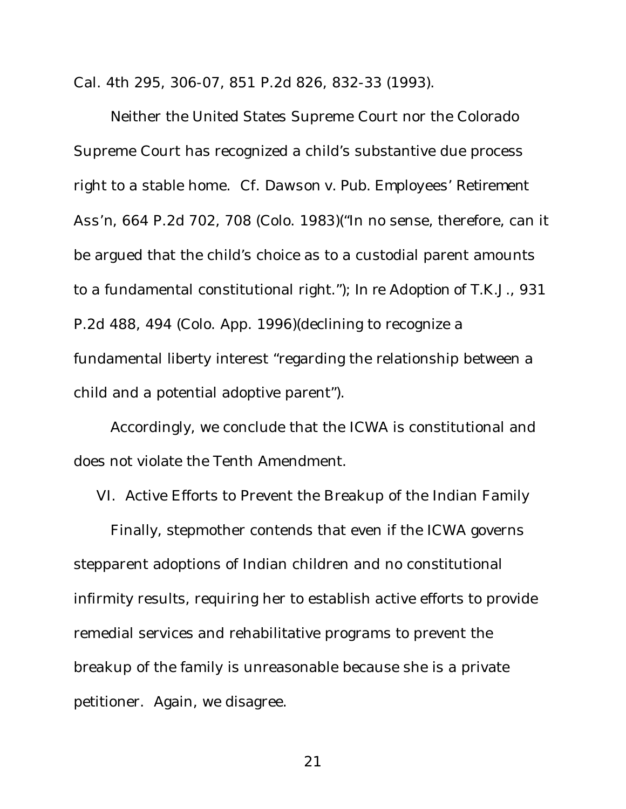Cal. 4th 295, 306-07, 851 P.2d 826, 832-33 (1993).

Neither the United States Supreme Court nor the Colorado Supreme Court has recognized a child's substantive due process right to a stable home. *Cf*. *Dawson v. Pub. Employees' Retirement Ass'n*, 664 P.2d 702, 708 (Colo. 1983)("In no sense, therefore, can it be argued that the child's choice as to a custodial parent amounts to a fundamental constitutional right."); *In re Adoption of T.K.J.*, 931 P.2d 488, 494 (Colo. App. 1996)(declining to recognize a fundamental liberty interest "regarding the relationship between a child and a potential adoptive parent").

Accordingly, we conclude that the ICWA is constitutional and does not violate the Tenth Amendment.

VI. Active Efforts to Prevent the Breakup of the Indian Family

Finally, stepmother contends that even if the ICWA governs stepparent adoptions of Indian children and no constitutional infirmity results, requiring her to establish active efforts to provide remedial services and rehabilitative programs to prevent the breakup of the family is unreasonable because she is a private petitioner. Again, we disagree.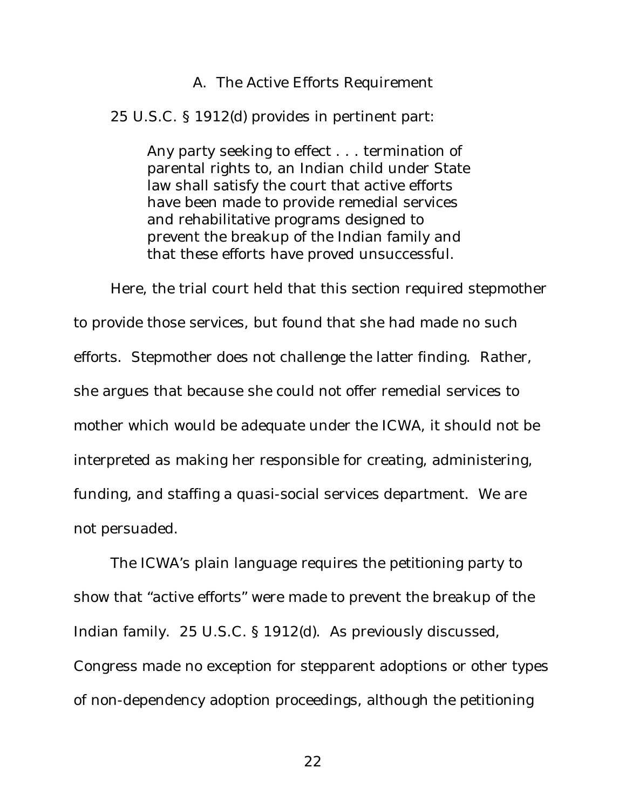### A. The Active Efforts Requirement

25 U.S.C. § 1912(d) provides in pertinent part:

Any party seeking to effect . . . termination of parental rights to, an Indian child under State law shall satisfy the court that active efforts have been made to provide remedial services and rehabilitative programs designed to prevent the breakup of the Indian family and that these efforts have proved unsuccessful.

Here, the trial court held that this section required stepmother to provide those services, but found that she had made no such efforts. Stepmother does not challenge the latter finding. Rather, she argues that because she could not offer remedial services to mother which would be adequate under the ICWA, it should not be interpreted as making her responsible for creating, administering, funding, and staffing a quasi-social services department. We are not persuaded.

The ICWA's plain language requires the petitioning party to show that "active efforts" were made to prevent the breakup of the Indian family. 25 U.S.C. § 1912(d). As previously discussed, Congress made no exception for stepparent adoptions or other types of non-dependency adoption proceedings, although the petitioning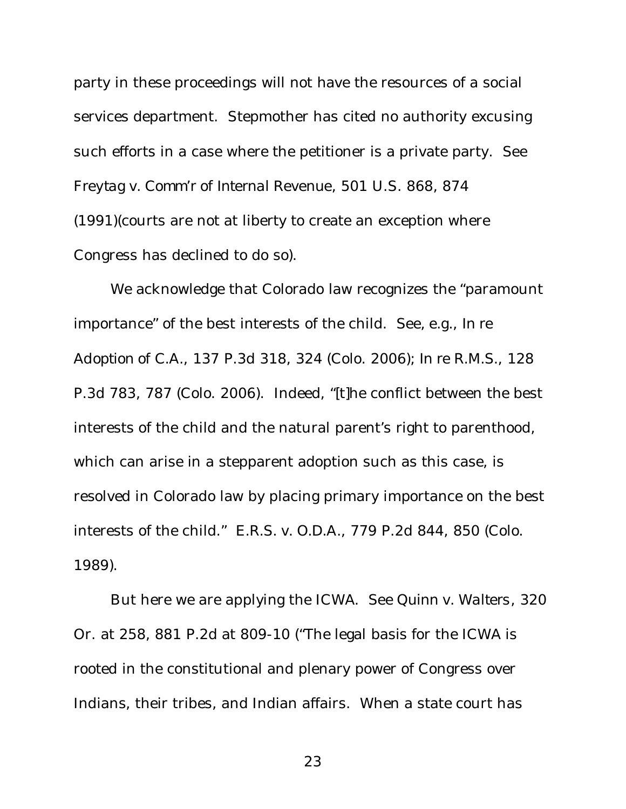party in these proceedings will not have the resources of a social services department. Stepmother has cited no authority excusing such efforts in a case where the petitioner is a private party. *See Freytag v. Comm'r of Internal Revenue*, 501 U.S. 868, 874 (1991)(courts are not at liberty to create an exception where Congress has declined to do so).

We acknowledge that Colorado law recognizes the "paramount importance" of the best interests of the child. *See, e.g.*, *In re Adoption of C.A.*, 137 P.3d 318, 324 (Colo. 2006); *In re R.M.S.*, 128 P.3d 783, 787 (Colo. 2006). Indeed, "[t]he conflict between the best interests of the child and the natural parent's right to parenthood, which can arise in a stepparent adoption such as this case, is resolved in Colorado law by placing primary importance on the best interests of the child." *E.R.S. v. O.D.A.*, 779 P.2d 844, 850 (Colo. 1989).

But here we are applying the ICWA. *See Quinn v. Walters*, 320 Or. at 258, 881 P.2d at 809-10 ("The legal basis for the ICWA is rooted in the constitutional and plenary power of Congress over Indians, their tribes, and Indian affairs. When a state court has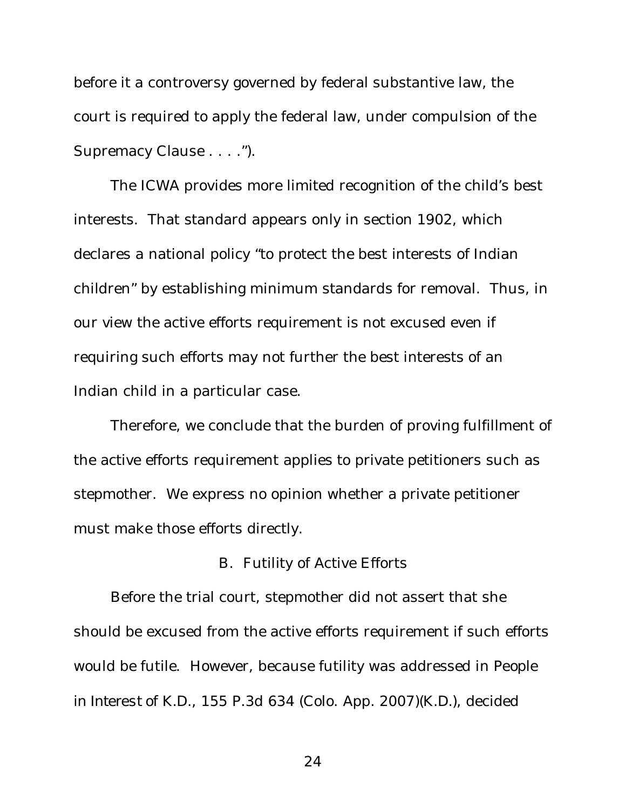before it a controversy governed by federal substantive law, the court is required to apply the federal law, under compulsion of the Supremacy Clause . . . .").

The ICWA provides more limited recognition of the child's best interests. That standard appears only in section 1902, which declares a national policy "to protect the best interests of Indian children" by establishing minimum standards for removal. Thus, in our view the active efforts requirement is not excused even if requiring such efforts may not further the best interests of an Indian child in a particular case.

Therefore, we conclude that the burden of proving fulfillment of the active efforts requirement applies to private petitioners such as stepmother. We express no opinion whether a private petitioner must make those efforts directly.

### B. Futility of Active Efforts

Before the trial court, stepmother did not assert that she should be excused from the active efforts requirement if such efforts would be futile. However, because futility was addressed in *People in Interest of K.D.*, 155 P.3d 634 (Colo. App. 2007)(*K.D.*), decided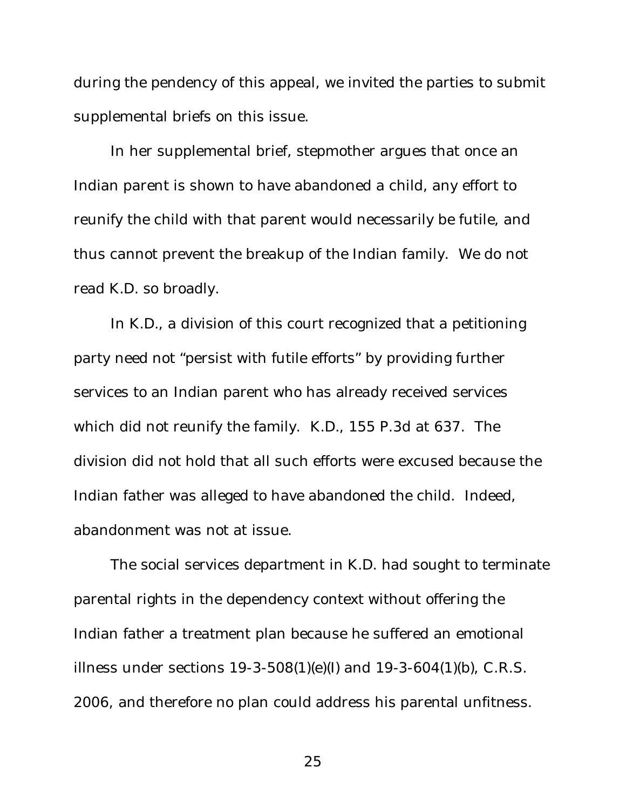during the pendency of this appeal, we invited the parties to submit supplemental briefs on this issue.

In her supplemental brief, stepmother argues that once an Indian parent is shown to have abandoned a child, any effort to reunify the child with that parent would necessarily be futile, and thus cannot prevent the breakup of the Indian family. We do not read *K.D.* so broadly.

In *K.D.*, a division of this court recognized that a petitioning party need not "persist with futile efforts" by providing further services to an Indian parent who has already received services which did not reunify the family. *K.D.*, 155 P.3d at 637. The division did not hold that all such efforts were excused because the Indian father was alleged to have abandoned the child. Indeed, abandonment was not at issue.

The social services department in *K.D.* had sought to terminate parental rights in the dependency context without offering the Indian father a treatment plan because he suffered an emotional illness under sections 19-3-508(1)(e)(I) and 19-3-604(1)(b), C.R.S. 2006, and therefore no plan could address his parental unfitness.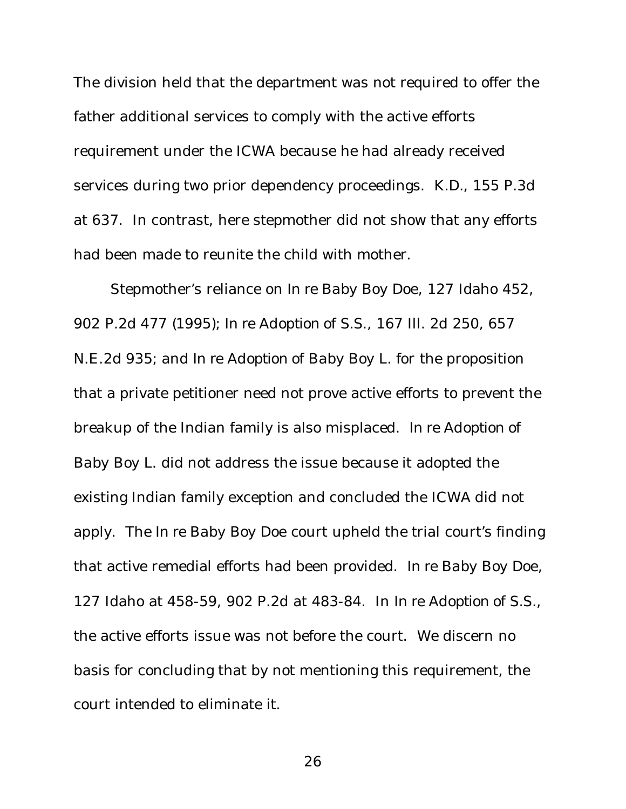The division held that the department was not required to offer the father additional services to comply with the active efforts requirement under the ICWA because he had already received services during two prior dependency proceedings. *K.D.*, 155 P.3d at 637. In contrast, here stepmother did not show that any efforts had been made to reunite the child with mother.

Stepmother's reliance on *In re Baby Boy Doe*, 127 Idaho 452, 902 P.2d 477 (1995); *In re Adoption of S.S.*, 167 Ill. 2d 250, 657 N.E.2d 935; and *In re Adoption of Baby Boy L.* for the proposition that a private petitioner need not prove active efforts to prevent the breakup of the Indian family is also misplaced. *In re Adoption of Baby Boy L.* did not address the issue because it adopted the existing Indian family exception and concluded the ICWA did not apply. The *In re Baby Boy Doe* court upheld the trial court's finding that active remedial efforts had been provided. *In re Baby Boy Doe*, 127 Idaho at 458-59, 902 P.2d at 483-84. In *In re Adoption of S.S.*, the active efforts issue was not before the court. We discern no basis for concluding that by not mentioning this requirement, the court intended to eliminate it.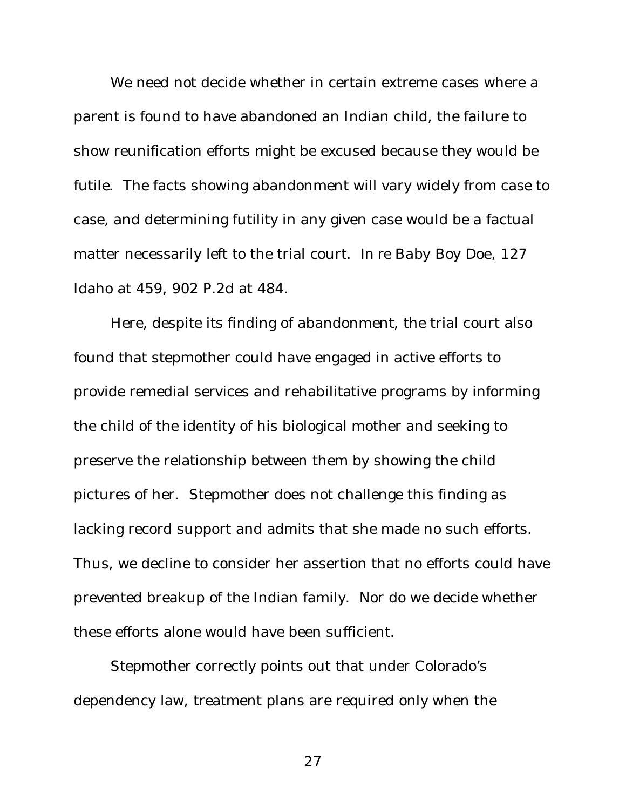We need not decide whether in certain extreme cases where a parent is found to have abandoned an Indian child, the failure to show reunification efforts might be excused because they would be futile. The facts showing abandonment will vary widely from case to case, and determining futility in any given case would be a factual matter necessarily left to the trial court. *In re Baby Boy Doe*, 127 Idaho at 459, 902 P.2d at 484.

Here, despite its finding of abandonment, the trial court also found that stepmother could have engaged in active efforts to provide remedial services and rehabilitative programs by informing the child of the identity of his biological mother and seeking to preserve the relationship between them by showing the child pictures of her. Stepmother does not challenge this finding as lacking record support and admits that she made no such efforts. Thus, we decline to consider her assertion that no efforts could have prevented breakup of the Indian family. Nor do we decide whether these efforts alone would have been sufficient.

Stepmother correctly points out that under Colorado's dependency law, treatment plans are required only when the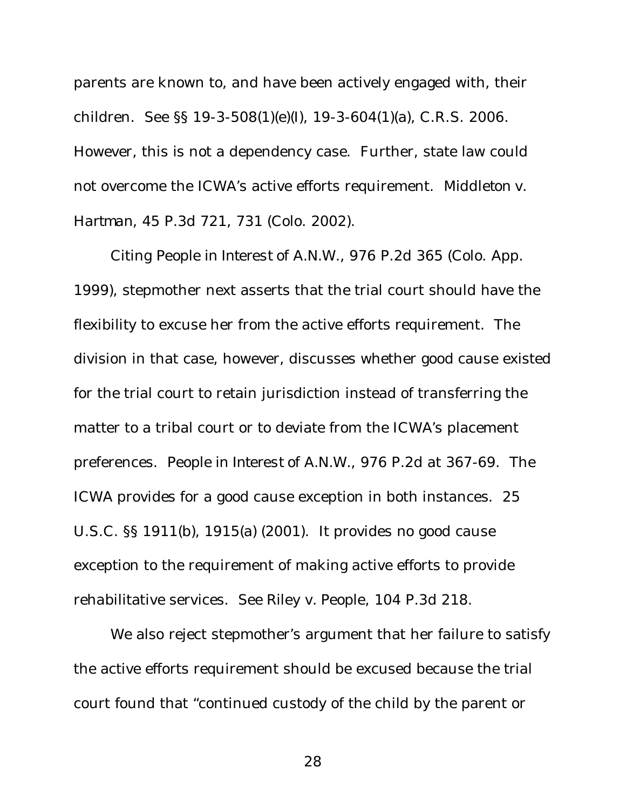parents are known to, and have been actively engaged with, their children. *See* §§ 19-3-508(1)(e)(I), 19-3-604(1)(a), C.R.S. 2006. However, this is not a dependency case. Further, state law could not overcome the ICWA's active efforts requirement. *Middleton v. Hartman*, 45 P.3d 721, 731 (Colo. 2002).

Citing *People in Interest of A.N.W.*, 976 P.2d 365 (Colo. App. 1999), stepmother next asserts that the trial court should have the flexibility to excuse her from the active efforts requirement. The division in that case, however, discusses whether good cause existed for the trial court to retain jurisdiction instead of transferring the matter to a tribal court or to deviate from the ICWA's placement preferences. *People in Interest of A.N.W.*, 976 P.2d at 367-69. The ICWA provides for a good cause exception in both instances. 25 U.S.C. §§ 1911(b), 1915(a) (2001). It provides no good cause exception to the requirement of making active efforts to provide rehabilitative services. *See Riley v. People*, 104 P.3d 218.

We also reject stepmother's argument that her failure to satisfy the active efforts requirement should be excused because the trial court found that "continued custody of the child by the parent or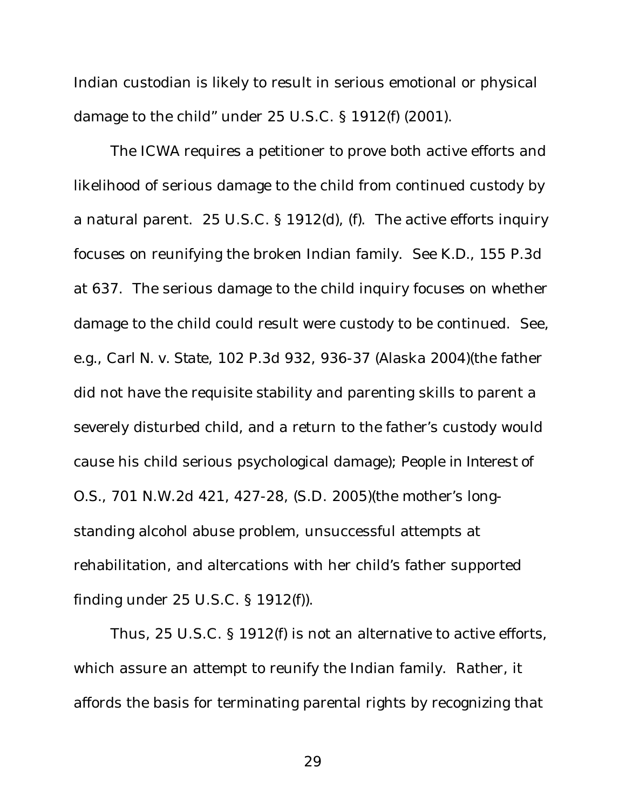Indian custodian is likely to result in serious emotional or physical damage to the child" under 25 U.S.C. § 1912(f) (2001).

The ICWA requires a petitioner to prove both active efforts and likelihood of serious damage to the child from continued custody by a natural parent. 25 U.S.C. § 1912(d), (f). The active efforts inquiry focuses on reunifying the broken Indian family. *See K.D.*, 155 P.3d at 637. The serious damage to the child inquiry focuses on whether damage to the child could result were custody to be continued. *See, e.g.*, *Carl N. v. State*, 102 P.3d 932, 936-37 (Alaska 2004)(the father did not have the requisite stability and parenting skills to parent a severely disturbed child, and a return to the father's custody would cause his child serious psychological damage); *People in Interest of O.S.*, 701 N.W.2d 421, 427-28, (S.D. 2005)(the mother's longstanding alcohol abuse problem, unsuccessful attempts at rehabilitation, and altercations with her child's father supported finding under 25 U.S.C. § 1912(f)).

Thus, 25 U.S.C. § 1912(f) is not an alternative to active efforts, which assure an attempt to reunify the Indian family. Rather, it affords the basis for terminating parental rights by recognizing that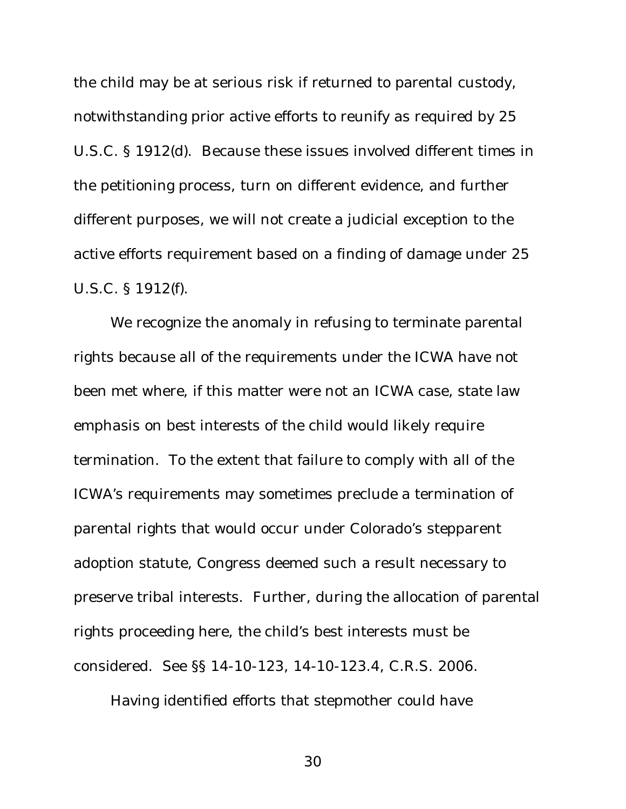the child may be at serious risk if returned to parental custody, notwithstanding prior active efforts to reunify as required by 25 U.S.C. § 1912(d). Because these issues involved different times in the petitioning process, turn on different evidence, and further different purposes, we will not create a judicial exception to the active efforts requirement based on a finding of damage under 25 U.S.C. § 1912(f).

We recognize the anomaly in refusing to terminate parental rights because all of the requirements under the ICWA have not been met where, if this matter were not an ICWA case, state law emphasis on best interests of the child would likely require termination. To the extent that failure to comply with all of the ICWA's requirements may sometimes preclude a termination of parental rights that would occur under Colorado's stepparent adoption statute, Congress deemed such a result necessary to preserve tribal interests. Further, during the allocation of parental rights proceeding here, the child's best interests must be considered. *See* §§ 14-10-123, 14-10-123.4, C.R.S. 2006.

Having identified efforts that stepmother could have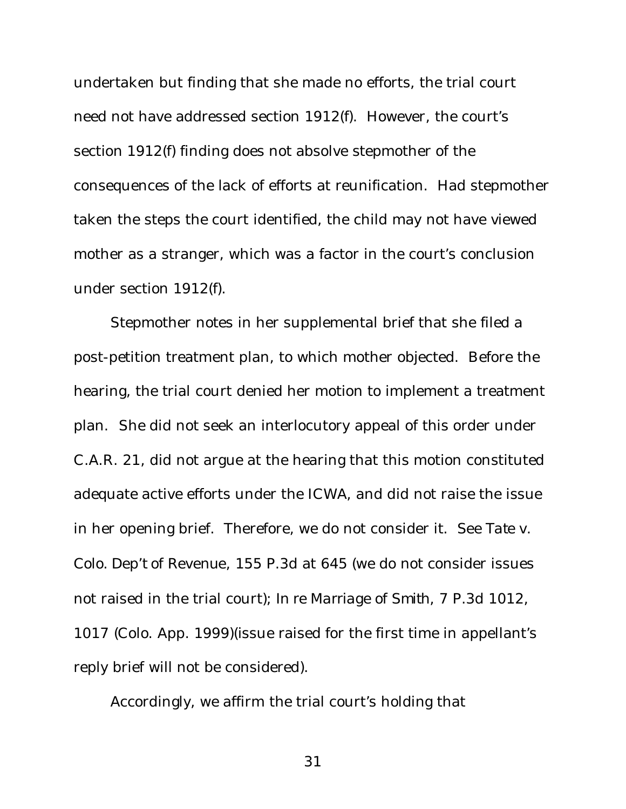undertaken but finding that she made no efforts, the trial court need not have addressed section 1912(f). However, the court's section 1912(f) finding does not absolve stepmother of the consequences of the lack of efforts at reunification. Had stepmother taken the steps the court identified, the child may not have viewed mother as a stranger, which was a factor in the court's conclusion under section 1912(f).

Stepmother notes in her supplemental brief that she filed a post-petition treatment plan, to which mother objected. Before the hearing, the trial court denied her motion to implement a treatment plan. She did not seek an interlocutory appeal of this order under C.A.R. 21, did not argue at the hearing that this motion constituted adequate active efforts under the ICWA, and did not raise the issue in her opening brief. Therefore, we do not consider it. *See Tate v. Colo. Dep't of Revenue*, 155 P.3d at 645 (we do not consider issues not raised in the trial court); *In re Marriage of Smith*, 7 P.3d 1012, 1017 (Colo. App. 1999)(issue raised for the first time in appellant's reply brief will not be considered).

Accordingly, we affirm the trial court's holding that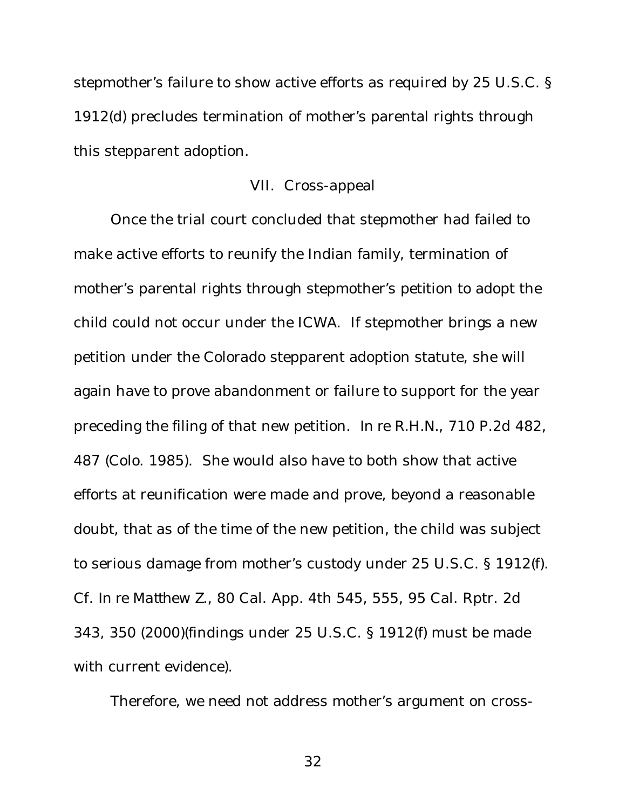stepmother's failure to show active efforts as required by 25 U.S.C. § 1912(d) precludes termination of mother's parental rights through this stepparent adoption.

### VII. Cross-appeal

Once the trial court concluded that stepmother had failed to make active efforts to reunify the Indian family, termination of mother's parental rights through stepmother's petition to adopt the child could not occur under the ICWA. If stepmother brings a new petition under the Colorado stepparent adoption statute, she will again have to prove abandonment or failure to support for the year preceding the filing of that new petition. *In re R.H.N.*, 710 P.2d 482, 487 (Colo. 1985). She would also have to both show that active efforts at reunification were made and prove, beyond a reasonable doubt, that as of the time of the new petition, the child was subject to serious damage from mother's custody under 25 U.S.C. § 1912(f). *Cf*. *In re Matthew Z.*, 80 Cal. App. 4th 545, 555, 95 Cal. Rptr. 2d 343, 350 (2000)(findings under 25 U.S.C. § 1912(f) must be made with current evidence).

Therefore, we need not address mother's argument on cross-